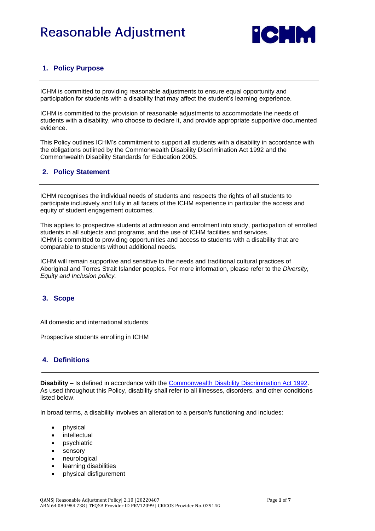# **Reasonable Adjustment**



### **1. Policy Purpose**

ICHM is committed to providing reasonable adjustments to ensure equal opportunity and participation for students with a disability that may affect the student's learning experience.

ICHM is committed to the provision of reasonable adjustments to accommodate the needs of students with a disability, who choose to declare it, and provide appropriate supportive documented evidence.

This Policy outlines ICHM's commitment to support all students with a disability in accordance with the obligations outlined by the Commonwealth Disability Discrimination Act 1992 and the Commonwealth Disability Standards for Education 2005.

#### **2. Policy Statement**

ICHM recognises the individual needs of students and respects the rights of all students to participate inclusively and fully in all facets of the ICHM experience in particular the access and equity of student engagement outcomes.

This applies to prospective students at admission and enrolment into study, participation of enrolled students in all subjects and programs, and the use of ICHM facilities and services. ICHM is committed to providing opportunities and access to students with a disability that are comparable to students without additional needs.

ICHM will remain supportive and sensitive to the needs and traditional cultural practices of Aboriginal and Torres Strait Islander peoples. For more information, please refer to the *Diversity, Equity and Inclusion policy.*

### **3. Scope**

All domestic and international students

Prospective students enrolling in ICHM

### **4. Definitions**

**Disability** – Is defined in accordance with the [Commonwealth Disability Discrimination Act 1992.](https://www.legislation.gov.au/Details/C2016C00763) As used throughout this Policy, disability shall refer to all illnesses, disorders, and other conditions listed below.

In broad terms, a disability involves an alteration to a person's functioning and includes:

- physical
- intellectual
- psychiatric
- sensory
- neurological
- learning disabilities
- physical disfigurement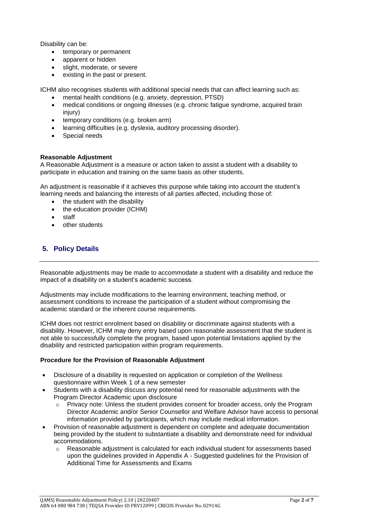Disability can be:

- temporary or permanent
- apparent or hidden
- slight, moderate, or severe
- existing in the past or present.

ICHM also recognises students with additional special needs that can affect learning such as:

- mental health conditions (e.g. anxiety, depression, PTSD)
- medical conditions or ongoing illnesses (e.g. chronic fatigue syndrome, acquired brain injury)
- temporary conditions (e.g. broken arm)
- learning difficulties (e.g. dyslexia, auditory processing disorder).
- Special needs

#### **Reasonable Adjustment**

A Reasonable Adjustment is a measure or action taken to assist a student with a disability to participate in education and training on the same basis as other students.

An adjustment is reasonable if it achieves this purpose while taking into account the student's learning needs and balancing the interests of all parties affected, including those of:

- the student with the disability
- the education provider (ICHM)
- staff
- other students

#### **5. Policy Details**

Reasonable adjustments may be made to accommodate a student with a disability and reduce the impact of a disability on a student's academic success.

Adjustments may include modifications to the learning environment, teaching method, or assessment conditions to increase the participation of a student without compromising the academic standard or the inherent course requirements.

ICHM does not restrict enrolment based on disability or discriminate against students with a disability. However, ICHM may deny entry based upon reasonable assessment that the student is not able to successfully complete the program, based upon potential limitations applied by the disability and restricted participation within program requirements.

#### **Procedure for the Provision of Reasonable Adjustment**

- Disclosure of a disability is requested on application or completion of the Wellness questionnaire within Week 1 of a new semester
- Students with a disability discuss any potential need for reasonable adjustments with the Program Director Academic upon disclosure
	- $\circ$  Privacy note: Unless the student provides consent for broader access, only the Program Director Academic and/or Senior Counsellor and Welfare Advisor have access to personal information provided by participants, which may include medical information.
- Provision of reasonable adjustment is dependent on complete and adequate documentation being provided by the student to substantiate a disability and demonstrate need for individual accommodations.
	- o Reasonable adjustment is calculated for each individual student for assessments based upon the guidelines provided in Appendix A - Suggested guidelines for the Provision of Additional Time for Assessments and Exams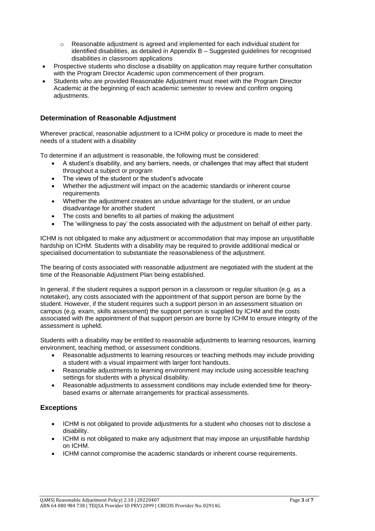- $\circ$  Reasonable adjustment is agreed and implemented for each individual student for identified disabilities, as detailed in Appendix B – Suggested guidelines for recognised disabilities in classroom applications
- Prospective students who disclose a disability on application may require further consultation with the Program Director Academic upon commencement of their program.
- Students who are provided Reasonable Adjustment must meet with the Program Director Academic at the beginning of each academic semester to review and confirm ongoing adiustments.

#### **Determination of Reasonable Adjustment**

Wherever practical, reasonable adjustment to a ICHM policy or procedure is made to meet the needs of a student with a disability

To determine if an adjustment is reasonable, the following must be considered:

- A student's disability, and any barriers, needs, or challenges that may affect that student throughout a subject or program
- The views of the student or the student's advocate
- Whether the adjustment will impact on the academic standards or inherent course requirements
- Whether the adjustment creates an undue advantage for the student, or an undue disadvantage for another student
- The costs and benefits to all parties of making the adjustment
- The 'willingness to pay' the costs associated with the adjustment on behalf of either party.

ICHM is not obligated to make any adjustment or accommodation that may impose an unjustifiable hardship on ICHM. Students with a disability may be required to provide additional medical or specialised documentation to substantiate the reasonableness of the adjustment.

The bearing of costs associated with reasonable adjustment are negotiated with the student at the time of the Reasonable Adjustment Plan being established.

In general, if the student requires a support person in a classroom or regular situation (e.g. as a notetaker), any costs associated with the appointment of that support person are borne by the student. However, if the student requires such a support person in an assessment situation on campus (e.g. exam, skills assessment) the support person is supplied by ICHM and the costs associated with the appointment of that support person are borne by ICHM to ensure integrity of the assessment is upheld.

Students with a disability may be entitled to reasonable adjustments to learning resources, learning environment, teaching method, or assessment conditions.

- Reasonable adjustments to learning resources or teaching methods may include providing a student with a visual impairment with larger font handouts.
- Reasonable adjustments to learning environment may include using accessible teaching settings for students with a physical disability.
- Reasonable adjustments to assessment conditions may include extended time for theorybased exams or alternate arrangements for practical assessments.

#### **Exceptions**

- ICHM is not obligated to provide adjustments for a student who chooses not to disclose a disability.
- ICHM is not obligated to make any adjustment that may impose an unjustifiable hardship on ICHM.
- ICHM cannot compromise the academic standards or inherent course requirements.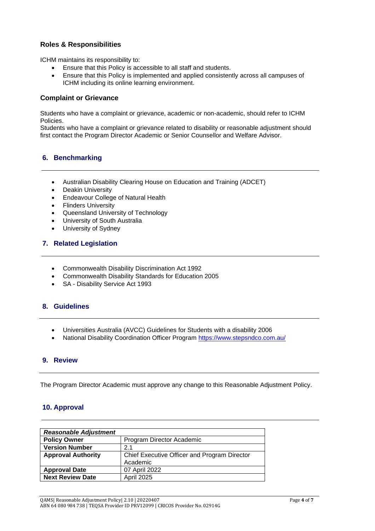#### **Roles & Responsibilities**

ICHM maintains its responsibility to:

- Ensure that this Policy is accessible to all staff and students.
- Ensure that this Policy is implemented and applied consistently across all campuses of ICHM including its online learning environment.

#### **Complaint or Grievance**

Students who have a complaint or grievance, academic or non-academic, should refer to ICHM Policies.

Students who have a complaint or grievance related to disability or reasonable adjustment should first contact the Program Director Academic or Senior Counsellor and Welfare Advisor.

#### **6. Benchmarking**

- Australian Disability Clearing House on Education and Training (ADCET)
- **Deakin University**
- Endeavour College of Natural Health
- Flinders University
- Queensland University of Technology
- University of South Australia
- University of Sydney

#### **7. Related Legislation**

- Commonwealth Disability Discrimination Act 1992
- Commonwealth Disability Standards for Education 2005
- SA Disability Service Act 1993

#### **8. Guidelines**

- Universities Australia (AVCC) Guidelines for Students with a disability 2006
- National Disability Coordination Officer Program<https://www.stepsndco.com.au/>

#### **9. Review**

The Program Director Academic must approve any change to this Reasonable Adjustment Policy.

#### **10. Approval**

| <b>Reasonable Adjustment</b> |                                              |  |
|------------------------------|----------------------------------------------|--|
| <b>Policy Owner</b>          | Program Director Academic                    |  |
| <b>Version Number</b>        | 2.1                                          |  |
| <b>Approval Authority</b>    | Chief Executive Officer and Program Director |  |
|                              | Academic                                     |  |
| <b>Approval Date</b>         | 07 April 2022                                |  |
| <b>Next Review Date</b>      | <b>April 2025</b>                            |  |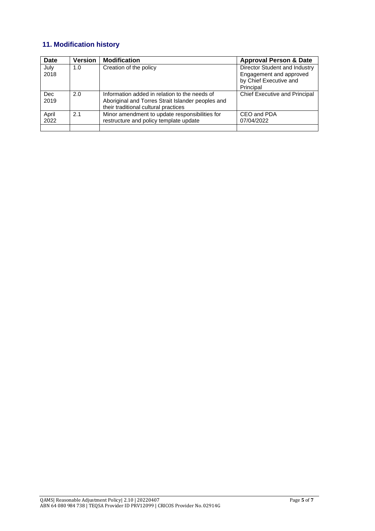### **11. Modification history**

| Date               | <b>Version</b> | <b>Modification</b>                                                                                                                        | <b>Approval Person &amp; Date</b>                                                               |
|--------------------|----------------|--------------------------------------------------------------------------------------------------------------------------------------------|-------------------------------------------------------------------------------------------------|
| July<br>2018       | 1.0            | Creation of the policy                                                                                                                     | Director Student and Industry<br>Engagement and approved<br>by Chief Executive and<br>Principal |
| <b>Dec</b><br>2019 | 2.0            | Information added in relation to the needs of<br>Aboriginal and Torres Strait Islander peoples and<br>their traditional cultural practices | <b>Chief Executive and Principal</b>                                                            |
| April<br>2022      | 2.1            | Minor amendment to update responsibilities for<br>restructure and policy template update                                                   | CEO and PDA<br>07/04/2022                                                                       |
|                    |                |                                                                                                                                            |                                                                                                 |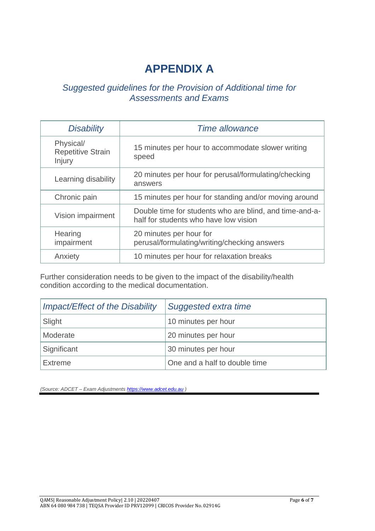# **APPENDIX A**

## *Suggested guidelines for the Provision of Additional time for Assessments and Exams*

| <b>Disability</b>                               | <b>Time allowance</b>                                                                            |  |
|-------------------------------------------------|--------------------------------------------------------------------------------------------------|--|
| Physical/<br><b>Repetitive Strain</b><br>Injury | 15 minutes per hour to accommodate slower writing<br>speed                                       |  |
| Learning disability                             | 20 minutes per hour for perusal/formulating/checking<br>answers                                  |  |
| Chronic pain                                    | 15 minutes per hour for standing and/or moving around                                            |  |
| Vision impairment                               | Double time for students who are blind, and time-and-a-<br>half for students who have low vision |  |
| Hearing<br>impairment                           | 20 minutes per hour for<br>perusal/formulating/writing/checking answers                          |  |
| Anxiety                                         | 10 minutes per hour for relaxation breaks                                                        |  |

Further consideration needs to be given to the impact of the disability/health condition according to the medical documentation.

| <b>Impact/Effect of the Disability</b> | Suggested extra time          |
|----------------------------------------|-------------------------------|
| Slight                                 | 10 minutes per hour           |
| Moderate                               | 20 minutes per hour           |
| Significant                            | 30 minutes per hour           |
| <b>Extreme</b>                         | One and a half to double time |

*(Source: ADCET – Exam Adjustments [https://www.adcet.edu.au](https://www.adcet.edu.au/) )*